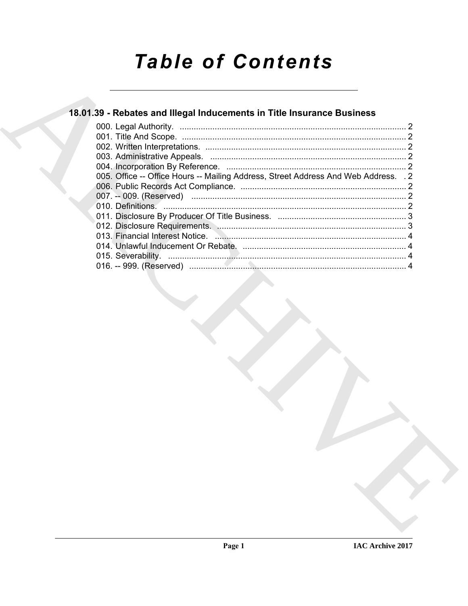# **Table of Contents**

# 18.01.39 - Rebates and Illegal Inducements in Title Insurance Business

| 005. Office -- Office Hours -- Mailing Address, Street Address And Web Address. . 2 |  |
|-------------------------------------------------------------------------------------|--|
|                                                                                     |  |
|                                                                                     |  |
|                                                                                     |  |
|                                                                                     |  |
|                                                                                     |  |
|                                                                                     |  |
|                                                                                     |  |
|                                                                                     |  |
|                                                                                     |  |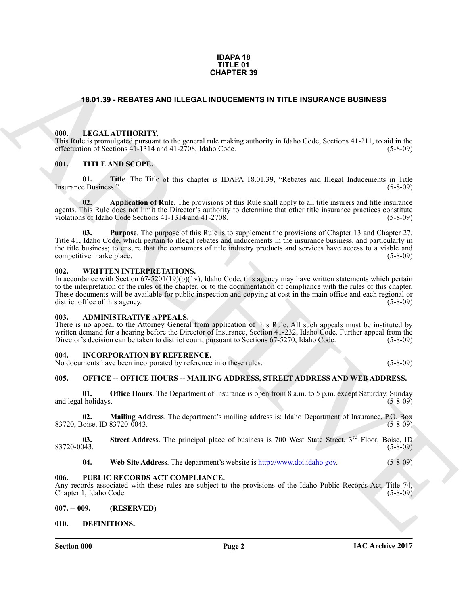### **IDAPA 18 TITLE 01 CHAPTER 39**

### <span id="page-1-0"></span>**18.01.39 - REBATES AND ILLEGAL INDUCEMENTS IN TITLE INSURANCE BUSINESS**

### <span id="page-1-1"></span>**000. LEGAL AUTHORITY.**

This Rule is promulgated pursuant to the general rule making authority in Idaho Code, Sections 41-211, to aid in the effectuation of Sections 41-1314 and 41-2708, Idaho Code. (5-8-09)

### <span id="page-1-2"></span>**001. TITLE AND SCOPE.**

**01. Title**. The Title of this chapter is IDAPA 18.01.39, "Rebates and Illegal Inducements in Title Insurance Business." (5-8-09)

**02.** Application of Rule. The provisions of this Rule shall apply to all title insurers and title insurance agents. This Rule does not limit the Director's authority to determine that other title insurance practices constitute violations of Idaho Code Sections 41-1314 and 41-2708. violations of Idaho Code Sections 41-1314 and 41-2708.

**CHAPTER 39**<br> **CHAPTER 39**<br> **CHARCHI[V](http://www.doi.idaho.gov)E COMMANDED INTERNATIONAL INTERNATIONAL INTERNATIONAL INTERNATIONAL INTERNATIONAL INTERNATIONAL INTERNATIONAL INTERNATIONAL INTERNATIONAL INTERNATIONAL INTERNATIONAL INTERNATIONAL INTE 03. Purpose**. The purpose of this Rule is to supplement the provisions of Chapter 13 and Chapter 27, Title 41, Idaho Code, which pertain to illegal rebates and inducements in the insurance business, and particularly in the title business; to ensure that the consumers of title industry products and services have access to a viable and competitive marketplace. (5-8-09) competitive marketplace.

### <span id="page-1-3"></span>**002. WRITTEN INTERPRETATIONS.**

In accordance with Section  $67-5201(19)(b)(1v)$ , Idaho Code, this agency may have written statements which pertain to the interpretation of the rules of the chapter, or to the documentation of compliance with the rules of this chapter. These documents will be available for public inspection and copying at cost in the main office and each regional or district office of this agency. district office of this agency.

### <span id="page-1-4"></span>**003. ADMINISTRATIVE APPEALS.**

There is no appeal to the Attorney General from application of this Rule. All such appeals must be instituted by written demand for a hearing before the Director of Insurance, Section 41-232, Idaho Code. Further appeal from the Director's decision can be taken to district court, pursuant to Sections 67-5270, Idaho Code. (5-8-09) Director's decision can be taken to district court, pursuant to Sections 67-5270, Idaho Code.

### <span id="page-1-5"></span>**INCORPORATION BY REFERENCE.**

No documents have been incorporated by reference into these rules. (5-8-09)

### <span id="page-1-6"></span>**005. OFFICE -- OFFICE HOURS -- MAILING ADDRESS, STREET ADDRESS AND WEB ADDRESS.**

**01. Office Hours**. The Department of Insurance is open from 8 a.m. to 5 p.m. except Saturday, Sunday and legal holidays. (5-8-09)

**02. Mailing Address**. The department's mailing address is: Idaho Department of Insurance, P.O. Box 83720, Boise, ID 83720-0043.

**03.** Street Address. The principal place of business is 700 West State Street, 3<sup>rd</sup> Floor, Boise, ID<br>(5-8-09) 83720-0043. (5-8-09)

**04. Web Site Address**. The department's website is http://www.doi.idaho.gov. (5-8-09)

### <span id="page-1-7"></span>**006. PUBLIC RECORDS ACT COMPLIANCE.**

Any records associated with these rules are subject to the provisions of the Idaho Public Records Act, Title 74, Chapter 1, Idaho Code. (5-8-09) Chapter 1, Idaho Code.

<span id="page-1-8"></span>**007. -- 009. (RESERVED)** 

### <span id="page-1-10"></span><span id="page-1-9"></span>**010. DEFINITIONS.**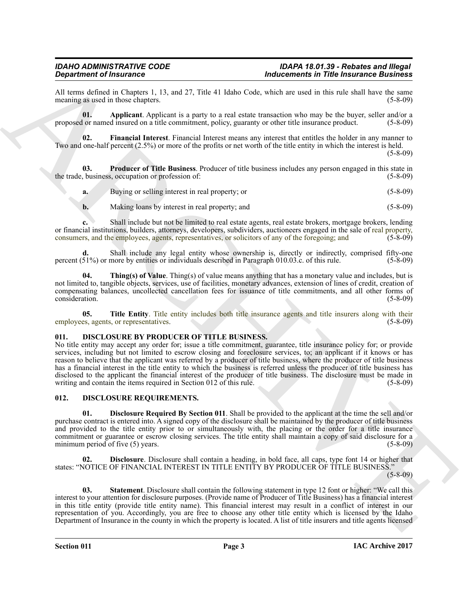All terms defined in Chapters 1, 13, and 27, Title 41 Idaho Code, which are used in this rule shall have the same meaning as used in those chapters. (5-8-09) meaning as used in those chapters.

<span id="page-2-2"></span>**01. Applicant**. Applicant is a party to a real estate transaction who may be the buyer, seller and/or a proposed or named insured on a title commitment, policy, guaranty or other title insurance product. (5-8-09)

<span id="page-2-3"></span>**02. Financial Interest**. Financial Interest means any interest that entitles the holder in any manner to Two and one-half percent (2.5%) or more of the profits or net worth of the title entity in which the interest is held.

(5-8-09)

**03.** Producer of Title Business. Producer of title business includes any person engaged in this state in business, occupation or profession of: (5-8-09) the trade, business, occupation or profession of:

<span id="page-2-4"></span>

| a. | Buying or selling interest in real property; or | $(5 - 8 - 09)$ |
|----|-------------------------------------------------|----------------|
|    | Making loans by interest in real property; and  | $(5 - 8 - 09)$ |

**c.** Shall include but not be limited to real estate agents, real estate brokers, mortgage brokers, lending or financial institutions, builders, attorneys, developers, subdividers, auctioneers engaged in the sale of real property, consumers, and the employees, agents, representatives, or solicitors of any of the foregoing; and (5-8-09)

**d.** Shall include any legal entity whose ownership is, directly or indirectly, comprised fifty-one 51% or more by entities or individuals described in Paragraph 010.03.c. of this rule. (5-8-09) percent (51%) or more by entities or individuals described in Paragraph 010.03.c. of this rule.

<span id="page-2-5"></span>**04. Thing(s) of Value**. Thing(s) of value means anything that has a monetary value and includes, but is not limited to, tangible objects, services, use of facilities, monetary advances, extension of lines of credit, creation of compensating balances, uncollected cancellation fees for issuance of title commitments, and all other forms of consideration. (5-8-09) consideration.

<span id="page-2-6"></span>**05.** Title Entity. Title entity includes both title insurance agents and title insurers along with their es. agents or representatives. (5-8-09) employees, agents, or representatives.

### <span id="page-2-7"></span><span id="page-2-0"></span>**011. DISCLOSURE BY PRODUCER OF TITLE BUSINESS.**

**Experimental of This control is a state of the state of the state of the state of the state of the state of the state of the state of the state of the state of the state of the state of the state of the state of the stat** No title entity may accept any order for; issue a title commitment, guarantee, title insurance policy for; or provide services, including but not limited to escrow closing and foreclosure services, to; an applicant if it knows or has reason to believe that the applicant was referred by a producer of title business, where the producer of title business has a financial interest in the title entity to which the business is referred unless the producer of title business has disclosed to the applicant the financial interest of the producer of title business. The disclosure must be made in writing and contain the items required in Section 012 of this rule. (5-8-09) writing and contain the items required in Section 012 of this rule.

### <span id="page-2-8"></span><span id="page-2-1"></span>**012. DISCLOSURE REQUIREMENTS.**

<span id="page-2-10"></span>**01. Disclosure Required By Section 011**. Shall be provided to the applicant at the time the sell and/or purchase contract is entered into. A signed copy of the disclosure shall be maintained by the producer of title business and provided to the title entity prior to or simultaneously with, the placing or the order for a title insurance commitment or guarantee or escrow closing services. The title entity shall maintain a copy of said disclosure for a minimum period of five  $(5)$  years.

<span id="page-2-9"></span>**02. Disclosure**. Disclosure shall contain a heading, in bold face, all caps, type font 14 or higher that states: "NOTICE OF FINANCIAL INTEREST IN TITLE ENTITY BY PRODUCER OF TITLE BUSINESS."

 $(5-8-09)$ 

<span id="page-2-11"></span>**03. Statement**. Disclosure shall contain the following statement in type 12 font or higher: "We call this interest to your attention for disclosure purposes. (Provide name of Producer of Title Business) has a financial interest in this title entity (provide title entity name). This financial interest may result in a conflict of interest in our representation of you. Accordingly, you are free to choose any other title entity which is licensed by the Idaho Department of Insurance in the county in which the property is located. A list of title insurers and title agents licensed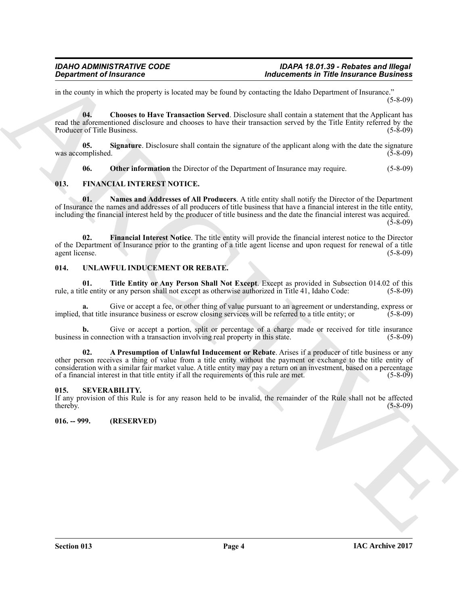in the county in which the property is located may be found by contacting the Idaho Department of Insurance." (5-8-09)

<span id="page-3-4"></span>**04. Chooses to Have Transaction Served**. Disclosure shall contain a statement that the Applicant has read the aforementioned disclosure and chooses to have their transaction served by the Title Entity referred by the Producer of Title Business. (5-8-09)

**05.** Signature. Disclosure shall contain the signature of the applicant along with the date the signature mplished. (5-8-09) was accomplished.

<span id="page-3-9"></span><span id="page-3-7"></span><span id="page-3-6"></span><span id="page-3-5"></span>**06.** Other information the Director of the Department of Insurance may require. (5-8-09)

### <span id="page-3-0"></span>**013. FINANCIAL INTEREST NOTICE.**

**01.** Names and Addresses of All Producers. A title entity shall notify the Director of the Department of Insurance the names and addresses of all producers of title business that have a financial interest in the title entity, including the financial interest held by the producer of title business and the date the financial interest was acquired.  $(5-8-09)$ 

<span id="page-3-8"></span>**02. Financial Interest Notice**. The title entity will provide the financial interest notice to the Director of the Department of Insurance prior to the granting of a title agent license and upon request for renewal of a title agent license.

### <span id="page-3-10"></span><span id="page-3-1"></span>**014. UNLAWFUL INDUCEMENT OR REBATE.**

<span id="page-3-12"></span>**01.** Title Entity or Any Person Shall Not Except. Except as provided in Subsection 014.02 of this lee ntity or any person shall not except as otherwise authorized in Title 41, Idaho Code: (5-8-09) rule, a title entity or any person shall not except as otherwise authorized in Title 41, Idaho Code:

Give or accept a fee, or other thing of value pursuant to an agreement or understanding, express or insurance business or escrow closing services will be referred to a title entity; or  $(5-8-09)$ implied, that title insurance business or escrow closing services will be referred to a title entity; or

<span id="page-3-11"></span>**b.** Give or accept a portion, split or percentage of a charge made or received for title insurance in connection with a transaction involving real property in this state. (5-8-09) business in connection with a transaction involving real property in this state.

**Expansion of Financine Contribution** is the European of The Linear Control in the European of The Linear Stephen and the United Stephen and the United Stephen and the United Stephen and the United Stephen and the United **02. A Presumption of Unlawful Inducement or Rebate**. Arises if a producer of title business or any other person receives a thing of value from a title entity without the payment or exchange to the title entity of consideration with a similar fair market value. A title entity may pay a return on an investment, based on a percentage of a financial interest in that title entity if all the requirements of this rule are met.

### <span id="page-3-2"></span>**015. SEVERABILITY.**

If any provision of this Rule is for any reason held to be invalid, the remainder of the Rule shall not be affected  $t$ hereby.  $(5-8-09)$ 

<span id="page-3-3"></span>**016. -- 999. (RESERVED)**